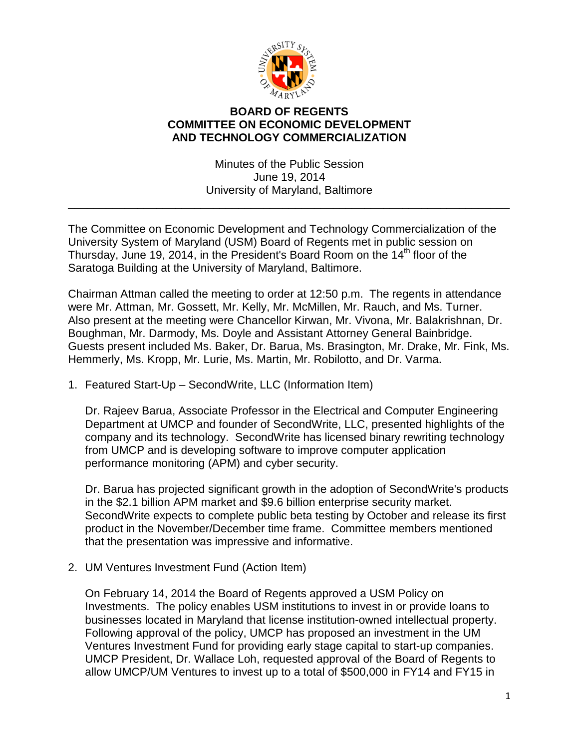

## **BOARD OF REGENTS COMMITTEE ON ECONOMIC DEVELOPMENT AND TECHNOLOGY COMMERCIALIZATION**

Minutes of the Public Session June 19, 2014 University of Maryland, Baltimore

\_\_\_\_\_\_\_\_\_\_\_\_\_\_\_\_\_\_\_\_\_\_\_\_\_\_\_\_\_\_\_\_\_\_\_\_\_\_\_\_\_\_\_\_\_\_\_\_\_\_\_\_\_\_\_\_\_\_\_\_\_\_\_\_\_\_\_\_\_\_

The Committee on Economic Development and Technology Commercialization of the University System of Maryland (USM) Board of Regents met in public session on Thursday, June 19, 2014, in the President's Board Room on the 14<sup>th</sup> floor of the Saratoga Building at the University of Maryland, Baltimore.

Chairman Attman called the meeting to order at 12:50 p.m. The regents in attendance were Mr. Attman, Mr. Gossett, Mr. Kelly, Mr. McMillen, Mr. Rauch, and Ms. Turner. Also present at the meeting were Chancellor Kirwan, Mr. Vivona, Mr. Balakrishnan, Dr. Boughman, Mr. Darmody, Ms. Doyle and Assistant Attorney General Bainbridge. Guests present included Ms. Baker, Dr. Barua, Ms. Brasington, Mr. Drake, Mr. Fink, Ms. Hemmerly, Ms. Kropp, Mr. Lurie, Ms. Martin, Mr. Robilotto, and Dr. Varma.

1. Featured Start-Up – SecondWrite, LLC (Information Item)

Dr. Rajeev Barua, Associate Professor in the Electrical and Computer Engineering Department at UMCP and founder of SecondWrite, LLC, presented highlights of the company and its technology. SecondWrite has licensed binary rewriting technology from UMCP and is developing software to improve computer application performance monitoring (APM) and cyber security.

Dr. Barua has projected significant growth in the adoption of SecondWrite's products in the \$2.1 billion APM market and \$9.6 billion enterprise security market. SecondWrite expects to complete public beta testing by October and release its first product in the November/December time frame. Committee members mentioned that the presentation was impressive and informative.

2. UM Ventures Investment Fund (Action Item)

On February 14, 2014 the Board of Regents approved a USM Policy on Investments. The policy enables USM institutions to invest in or provide loans to businesses located in Maryland that license institution-owned intellectual property. Following approval of the policy, UMCP has proposed an investment in the UM Ventures Investment Fund for providing early stage capital to start-up companies. UMCP President, Dr. Wallace Loh, requested approval of the Board of Regents to allow UMCP/UM Ventures to invest up to a total of \$500,000 in FY14 and FY15 in